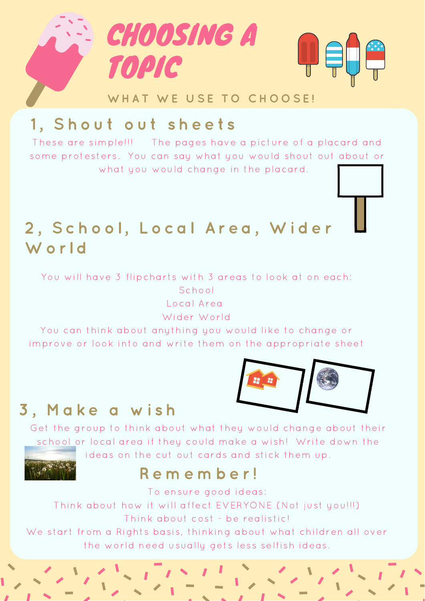

## 1, Shout out sheets

These are simple!!! The pages have a picture of a placard and some protesters. You can say what you would shout out about or what you would change in the placard.

## 2, School, Local Area, Wider W orld

You will have 3 flipcharts with 3 areas to look at on each: School Local Area

Wider World

You can think about anything you would like to change or improve or look into and write them on the appropriate sheet

# 3, Make a wish

Get the group to think about what they would change about their school or local area if they could make a wish! Write down the ideas on the cut out cards and stick them up.

### R e m e m b e r !

To ensure good ideas:

Think about how it will affect EVERYONE (Not just you!!!) Think about cost - be realistic!

We start from a Rights basis, thinking about what children all over the world need usually gets less selfish ideas.